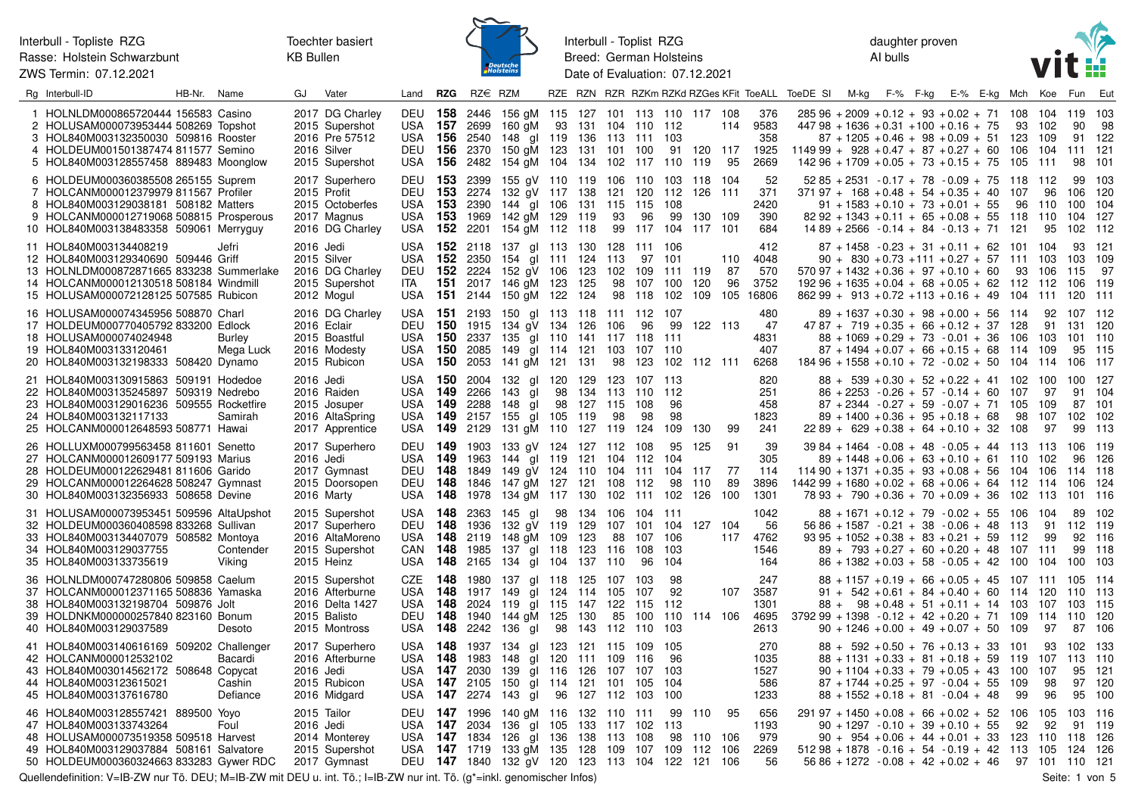Interbull - Topliste RZG Rasse: Holstein Schwarzbunt ZWS Termin: 07.12.2021



Interbull - Toplist RZG Breed: German Holsteins Date of Evaluation: 07.12.2021 daughter proven AI bulls



| Rg Interbull-ID                                                                                                                                                                                           | HB-Nr. Name |                               | GJ.                      | Vater                                                                                 | Land                                                                          | <b>RZG</b>           | $RZ \in RZM$                            |                                                                                                                                                                                                  |            |                   |                                              |                                        |                        |                                                      |                  |                                     | RZE RZN RZR RZKm RZKd RZGes KFit ToeALL ToeDE SI M-kg F-% F-kg E-% E-kg Mch Koe                                                                                                   |                                                                                                                                                                                                                                              |  |  |           |                                      | Fun                                            | Eut                                |
|-----------------------------------------------------------------------------------------------------------------------------------------------------------------------------------------------------------|-------------|-------------------------------|--------------------------|---------------------------------------------------------------------------------------|-------------------------------------------------------------------------------|----------------------|-----------------------------------------|--------------------------------------------------------------------------------------------------------------------------------------------------------------------------------------------------|------------|-------------------|----------------------------------------------|----------------------------------------|------------------------|------------------------------------------------------|------------------|-------------------------------------|-----------------------------------------------------------------------------------------------------------------------------------------------------------------------------------|----------------------------------------------------------------------------------------------------------------------------------------------------------------------------------------------------------------------------------------------|--|--|-----------|--------------------------------------|------------------------------------------------|------------------------------------|
| 1 HOLNLDM000865720444 156583 Casino<br>2 HOLUSAM000073953444 508269 Topshot<br>3 HOL840M003132350030 509816 Rooster<br>4 HOLDEUM001501387474 811577 Semino<br>5 HOL840M003128557458 889483 Moonglow       |             |                               |                          | 2017 DG Charley<br>2015 Supershot<br>2016 Pre 57512<br>2016 Silver<br>2015 Supershot  | USA 157 2699<br>USA <b>156</b>                                                |                      | 2540                                    | DEU 158 2446 156 gM 115 127 101 113 110 117 108<br>160 gM 93 131 104 110 112<br>148 gl 119 136 113 111 103<br>DEU 156 2370 150 gM 123 131 101 100<br>USA 156 2482 154 gM 104 134 102 117 110 119 |            |                   |                                              |                                        |                        | 91 120 117                                           | 114<br>95        | 376<br>9583<br>358<br>1925<br>2669  | $28596 + 2009 + 0.12 + 93 + 0.02 + 71$ 108<br>$44798 + 1636 + 0.31 + 100 + 0.16 + 75$<br>$114999 + 928 + 0.47 + 87 + 0.27 + 60$ 106<br>$14296 + 1709 + 0.05 + 73 + 0.15 + 75$ 105 | $87 + 1205 + 0.46 + 98 + 0.09 + 51$ 123                                                                                                                                                                                                      |  |  |           | 104<br>93 102<br>109<br>104<br>- 111 | 119<br>90<br>111<br>98                         | 103<br>-98<br>91 122<br>121<br>101 |
| 6 HOLDEUM000360385508 265155 Suprem<br>7 HOLCANM000012379979 811567 Profiler<br>8 HOL840M003129038181 508182 Matters<br>9 HOLCANM000012719068 508815 Prosperous<br>10 HOL840M003138483358 509061 Merryguy |             |                               |                          | 2017 Superhero<br>2015 Profit<br>2015 Octoberfes<br>2017 Magnus<br>2016 DG Charley    | <b>DEU 153</b><br><b>DEU 153</b><br>USA<br>USA<br>USA 152                     | 153<br>- 153         | 2399<br>2274<br>2390                    | 155 gV 110 119 106 110 103 118 104<br>132 gV 117 138<br>144 gl 106<br>1969 142 gM 129 119<br>2201 154 gM 112 118                                                                                 |            | 131               | 115<br>93<br>99                              | 115 108<br>96                          |                        | 121 120 112 126 111<br>99 130 109<br>117 104 117 101 |                  | -52<br>371<br>2420<br>390<br>684    | $37197 + 168 + 0.48 + 54 + 0.35 + 40$                                                                                                                                             | $5285 + 2531 - 0.17 + 78 - 0.09 + 75$ 118 112<br>$91 + 1583 + 0.10 + 73 + 0.01 + 55$<br>$8292 + 1343 + 0.11 + 65 + 0.08 + 55$ 118 110<br>$1489 + 2566 - 0.14 + 84 - 0.13 + 71$ 121                                                           |  |  | 107<br>96 | 96<br>110<br>95                      | 99<br>106<br>100<br>104<br>102 112             | 103<br>120<br>104<br>-127          |
| 11 HOL840M003134408219<br>12 HOL840M003129340690 509446 Griff<br>13 HOLNLDM000872871665 833238 Summerlake<br>14 HOLCANM000012130518 508184 Windmill<br>15 HOLUSAM000072128125 507585 Rubicon              |             | Jefri                         | 2016 Jedi                | 2015 Silver<br>2016 DG Charley<br>2015 Supershot<br>2012 Mogul                        | USA<br>DEU<br>ITA I                                                           | 152<br>151           | <b>152</b> 2350                         | USA 152 2118 137 gl 113 130 128 111 106<br>154 gl 111<br>2224 152 gV 106<br>2017 146 gM 123<br>USA 151 2144 150 gM 122 124                                                                       |            | 124<br>123<br>125 | 113<br>102<br>98                             | 97 101<br>109 111 119<br>107<br>98 118 | 100<br>102             | 120<br>109 105                                       | 110<br>-87<br>96 | 412<br>4048<br>570<br>3752<br>16806 | $570.97 + 1432 + 0.36 + 97 + 0.10 + 60$<br>$19296 + 1635 + 0.04 + 68 + 0.05 + 62$ 112 112<br>$86299 + 913 + 0.72 + 113 + 0.16 + 49$ 104                                           | $87 + 1458 - 0.23 + 31 + 0.11 + 62$ 101 104<br>$90 + 830 + 0.73 + 111 + 0.27 + 57$ 111                                                                                                                                                       |  |  | 93        | - 103<br>106<br>- 111                | 93<br>103<br>115<br>106<br>120                 | 121<br>109<br>- 97<br>- 119<br>111 |
| 16 HOLUSAM000074345956 508870 Charl<br>17 HOLDEUM000770405792 833200 Edlock<br>18 HOLUSAM000074024948<br>19 HOL840M003133120461<br>20 HOL840M003132198333 508420 Dynamo                                   |             | <b>Burley</b><br>Mega Luck    |                          | 2016 DG Charley<br>2016 Eclair<br>2015 Boastful<br>2016 Modesty<br>2015 Rubicon       | USA 151 2193<br>DEU 150 1915<br>USA 150<br>USA                                |                      | <b>150</b> 2085                         | 150 gl 113 118 111 112 107<br>134 gV 134 126<br>2337 135 gl 110 141 117 118 111<br>149 gl 114 121<br>USA 150 2053 141 gM 121 131                                                                 |            |                   | 106<br>103                                   | 96<br>107 110                          |                        | 99 122 113<br>98 123 102 112 111                     |                  | 480<br>-47<br>4831<br>407<br>6268   | $18496 + 1558 + 0.10 + 72 - 0.02 + 50$ 104 114                                                                                                                                    | $89 + 1637 + 0.30 + 98 + 0.00 + 56$ 114<br>$4787 + 719 + 0.35 + 66 + 0.12 + 37$ 128<br>$88 + 1069 + 0.29 + 73 - 0.01 + 36$ 106<br>$87 + 1494 + 0.07 + 66 + 0.15 + 68$ 114                                                                    |  |  |           | 92<br>91<br>103<br>109               | 107 112<br>131 120<br>101 110<br>95<br>106 117 | 115                                |
| 21 HOL840M003130915863 509191 Hodedoe<br>22 HOL840M003135245897 509319 Nedrebo<br>23 HOL840M003129016236 509555 Rocketfire<br>24 HOL840M003132117133<br>25 HOLCANM000012648593 508771 Hawai               |             | Samirah                       | 2016 Jedi                | 2016 Raiden<br>2015 Josuper<br>2016 AltaSpring<br>2017 Apprentice                     | <b>USA 150</b><br>USA<br>USA<br><b>USA 149</b><br>USA                         | - 149<br>- 149       | 2004<br>2266<br>2288<br><b>149</b> 2129 | 132 gl 120 129<br>143 gl<br>148 gl<br>2157 155 gl 105 119<br>131 gM 110 127 119                                                                                                                  |            | 98 134<br>98 127  | 123 107 113<br>113 110<br>115<br>98          | 108<br>98<br>124                       | 112<br>96<br>98<br>109 | 130                                                  | 99               | 820<br>251<br>458<br>1823<br>241    |                                                                                                                                                                                   | $88 + 539 + 0.30 + 52 + 0.22 + 41$ 102 100<br>$86 + 2253 - 0.26 + 57 - 0.14 + 60$<br>$87 + 2344 - 0.27 + 59 - 0.07 + 71$ 105<br>$89 + 1400 + 0.36 + 95 + 0.18 + 68$<br>$2289 + 629 + 0.38 + 64 + 0.10 + 32$ 108                              |  |  | 107<br>98 | 97<br>109<br>107<br>97               | 100 127<br>87<br>102<br>99                     | 91 104<br>101<br>102<br>113        |
| 26 HOLLUXM000799563458 811601 Senetto<br>27 HOLCANM000012609177 509193 Marius<br>28 HOLDEUM000122629481 811606 Garido<br>29 HOLCANM000012264628 508247 Gymnast<br>30 HOL840M003132356933 508658 Devine    |             |                               | 2016 Jedi                | 2017 Superhero<br>2017 Gymnast<br>2015 Doorsopen<br>2016 Marty                        | DEU 149 1903<br>USA <b>149</b><br><b>DEU 148</b><br><b>DEU 148</b><br>USA 148 |                      | 1963<br>1849<br>1846<br>1978            | 133 gV 124 127 112 108<br>144 gl 119 121 104 112 104<br>149 gV 124 110 104 111 104 117<br>147 gM 127 121 108 112<br>134 gM 117 130 102 111 102 126 100                                           |            |                   |                                              |                                        | 98                     | 95 125<br>-110                                       | -91<br>-77<br>89 | 39<br>305<br>114<br>3896<br>1301    | $11490 + 1371 + 0.35 + 93 + 0.08 + 56$ 104 106<br>$144299 + 1680 + 0.02 + 68 + 0.06 + 64$ 112 114                                                                                 | $3984 + 1464 - 0.08 + 48 - 0.05 + 44$ 113 113<br>$89 + 1448 + 0.06 + 63 + 0.10 + 61$ 110<br>$7893 + 790 + 0.36 + 70 + 0.09 + 36$ 102 113                                                                                                     |  |  |           | 102                                  | 106<br>96<br>114 118<br>106<br>101             | 119<br>126<br>124<br>-116          |
| 31 HOLUSAM000073953451 509596 AltaUpshot<br>32 HOLDEUM000360408598 833268 Sullivan<br>33 HOL840M003134407079 508582 Montoya<br>34 HOL840M003129037755<br>35 HOL840M003133735619                           |             | Contender<br>Viking           |                          | 2015 Supershot<br>2017 Superhero<br>2016 AltaMoreno<br>2015 Supershot<br>2015 Heinz   | USA <b>148</b><br><b>DEU 148</b><br>USA 148 2119<br>CAN 148<br>USA 148        |                      | 2363<br>1936<br>1985                    | 145 al<br>132 gV 119 129<br>148 gM 109 123<br>137 gl 118 123 116<br>2165 134 gl 104 137 110                                                                                                      |            | 98 134            | 106<br>88                                    | 104 111<br>107 106<br>108<br>96        | 103<br>104             | 107 101 104 127 104                                  | 117              | 1042<br>56<br>4762<br>1546<br>164   |                                                                                                                                                                                   | $88 + 1671 + 0.12 + 79 - 0.02 + 55$ 106 104<br>$5686 + 1587 - 0.21 + 38 - 0.06 + 48$ 113<br>$93\,95 + 1052 + 0.38 + 83 + 0.21 + 59$ 112<br>$89 + 793 + 0.27 + 60 + 0.20 + 48$ 107 111<br>$86 + 1382 + 0.03 + 58 - 0.05 + 42$ 100 104 100 103 |  |  |           | 91<br>99                             | 112 119<br>92<br>99                            | 89 102<br>-116<br>118              |
| 36 HOLNLDM000747280806 509858 Caelum<br>37 HOLCANM000012371165 508836 Yamaska<br>38 HOL840M003132198704 509876 Jolt<br>39 HOLDNKM000000257840 823160 Bonum<br>40 HOL840M003129037589                      |             | Desoto                        |                          | 2015 Supershot<br>2016 Afterburne<br>2016 Delta 1427<br>2015 Balisto<br>2015 Montross | CZE<br>USA.<br>USA<br><b>DEU 148</b><br>USA <b>148</b>                        | 148<br>-148<br>- 148 | 1917 149<br>2242                        | 1980 137 gl 118 125<br>2024 119 gl 115 147<br>1940 144 gM 125 130<br>136 gl                                                                                                                      | gl 124 114 | 98 143            | 107 103<br>105<br>122<br>85<br>112           | 107<br>115<br>100<br>110               | 98<br>92<br>112<br>103 | 110 114 106                                          | 107              | 247<br>3587<br>1301<br>4695<br>2613 | $379299 + 1398 - 0.12 + 42 + 0.20 + 71$ 109 114                                                                                                                                   | $88 + 1157 + 0.19 + 66 + 0.05 + 45$ 107 111 105 114<br>$91 + 542 + 0.61 + 84 + 0.40 + 60$ 114<br>$88 + 98 + 0.48 + 51 + 0.11 + 14$ 103<br>$90 + 1246 + 0.00 + 49 + 0.07 + 50$ 109                                                            |  |  |           | 120<br>107<br>97                     | 110<br>103<br>110<br>87                        | 113<br>- 115<br>120<br>106         |
| 41 HOL840M003140616169 509202 Challenger<br>42 HOLCANM000012532102<br>43 HOL840M003014562172 508648 Copycat<br>44 HOL840M003123615021<br>45 HOL840M003137616780                                           |             | Bacardi<br>Cashin<br>Defiance | 2016 Jedi                | 2017 Superhero<br>2016 Afterburne<br>2015 Rubicon<br>2016 Midgard                     | USA 148<br>USA <b>148</b><br>USA 147 2030<br>USA 147 2105<br>USA 147 2274     |                      | 1937<br>1983                            | 134 gl 123 121 115 109 105<br>148 gl 120 111<br>139 gl 116 126<br>150 gl 114 121 101 105<br>143 gl                                                                                               |            | 96 127 112        | 109                                          | 116<br>107 107 103<br>103              | 96<br>104<br>100       |                                                      |                  | 270<br>1035<br>1527<br>586<br>1233  |                                                                                                                                                                                   | $88 + 592 + 0.50 + 76 + 0.13 + 33$ 101<br>$88 + 1131 + 0.33 + 81 + 0.18 + 59$<br>$90 + 1104 + 0.33 + 79 + 0.05 + 43$ 100<br>$87 + 1744 + 0.25 + 97 - 0.04 + 55$ 109<br>$88 + 1552 + 0.18 + 81 - 0.04 + 48$                                   |  |  | 119<br>99 | 93<br>107<br>107<br>98<br>96         | 102 133<br>113 110<br>95<br>97<br>95           | 121<br>120<br>100                  |
| 46 HOL840M003128557421 889500 Yoyo<br>47 HOL840M003133743264<br>48 HOLUSAM000073519358 509518 Harvest<br>49 HOL840M003129037884 508161 Salvatore<br>50 HOLDEUM000360324663 833283 Gywer RDC               |             | Foul                          | 2015 Tailor<br>2016 Jedi | 2014 Monterey<br>2015 Supershot<br>2017 Gymnast                                       | <b>DEU 147</b><br>USA 147 2034<br>USA                                         | <b>147</b> 1834      | 1996                                    | 140 gM 116 132<br>136 gl<br>126 gl 136<br>USA 147 1719 133 gM 135<br>DEU 147 1840 132 gV 120 123 113 104 122 121 106                                                                             | 105        | 133<br>138<br>128 | 110 111<br>117 102 113<br>113 108<br>109 107 |                                        |                        | 99 110<br>98 110 106<br>109 112 106                  | 95               | 656<br>1193<br>979<br>2269<br>56    | $291\,97 + 1450 + 0.08 + 66 + 0.02 + 52$ 106<br>$51298 + 1878 - 0.16 + 54 - 0.19 + 42$ 113 105                                                                                    | $90 + 1297 - 0.10 + 39 + 0.10 + 55$<br>$90 + 954 + 0.06 + 44 + 0.01 + 33$ 123 110<br>$5686 + 1272 - 0.08 + 42 + 0.02 + 46$ 97 101 110 121                                                                                                    |  |  | 92        | 105<br>92                            | 103 116<br>118<br>124                          | 91 119<br>- 126<br>126             |

Quellendefinition: V=IB-ZW nur Tö. DEU; M=IB-ZW mit DEU u. int. Tö.; I=IB-ZW nur int. Tö. (g\*=inkl. genomischer Infos) Seite: 1 von 5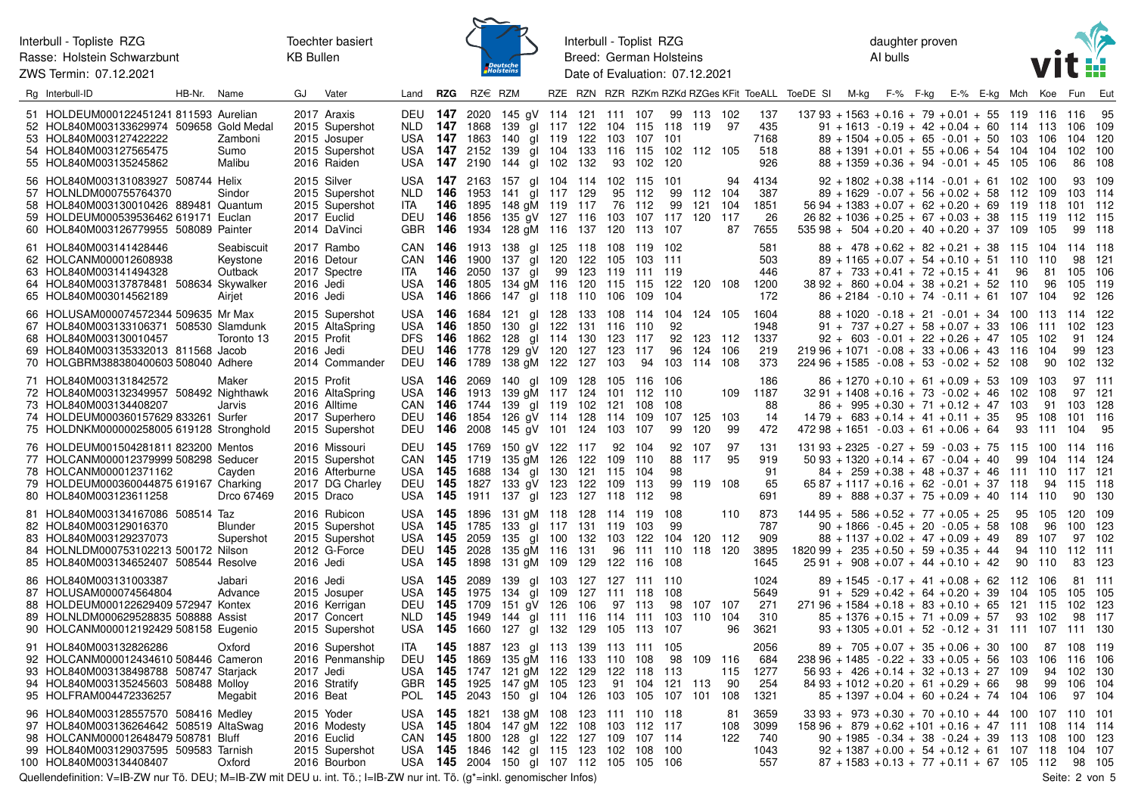Interbull - Topliste RZG Rasse: Holstein Schwarzbunt

ZWS Termin: 07.12.2021



Interbull - Toplist RZG Breed: German Holsteins Date of Evaluation: 07.12.2021

daughter proven AI bulls



| Rg Interbull-ID                                                                                                                                                                           | HB-Nr. | Name                                        | GJ                       | Vater                                                                               | Land                                                    | <b>RZG</b>                           | $RZ \in RZM$                                                          |                                                                                                                                                |    |                       |                                     |                                                 |                                |                                      |                   |                                    | RZE RZN RZR RZKm RZKd RZGes KFit ToeALL ToeDE SI M-kg F-% F-kg |  | E-% E-kg Mch                                                                                                                                                                                                                      |                             | Koe                             | Fun                                                | Eut                                     |
|-------------------------------------------------------------------------------------------------------------------------------------------------------------------------------------------|--------|---------------------------------------------|--------------------------|-------------------------------------------------------------------------------------|---------------------------------------------------------|--------------------------------------|-----------------------------------------------------------------------|------------------------------------------------------------------------------------------------------------------------------------------------|----|-----------------------|-------------------------------------|-------------------------------------------------|--------------------------------|--------------------------------------|-------------------|------------------------------------|----------------------------------------------------------------|--|-----------------------------------------------------------------------------------------------------------------------------------------------------------------------------------------------------------------------------------|-----------------------------|---------------------------------|----------------------------------------------------|-----------------------------------------|
| 51 HOLDEUM000122451241 811593 Aurelian<br>52 HOL840M003133629974 509658 Gold Medal<br>53 HOL840M003127422222<br>54 HOL840M003127565475<br>55 HOL840M003135245862                          |        | Zamboni<br>Sumo<br>Malibu                   |                          | 2017 Araxis<br>2015 Supershot<br>2015 Josuper<br>2015 Supershot<br>2016 Raiden      | <b>DEU 147</b><br>NLD.<br>USA<br><b>USA 147</b>         |                                      | 2020<br><b>147</b> 1868<br><b>147</b> 1863<br>2152                    | 145 gV 114 121 111 107<br>139 gl 117 122<br>140 gl 119 122<br>139 gl 104 133<br>USA 147 2190 144 gl 102 132                                    |    |                       | 103<br>93                           | 104 115 118<br>107<br>116 115 102<br>102        | 101<br>120                     | 99 113 102<br>119<br>112 105         | -97               | 137<br>435<br>7168<br>518<br>926   |                                                                |  | $13793 + 1563 + 0.16 + 79 + 0.01 + 55$ 119<br>$91 + 1613 - 0.19 + 42 + 0.04 + 60$<br>$89 + 1504 + 0.05 + 65 - 0.01 + 50$ 103<br>$88 + 1391 + 0.01 + 55 + 0.06 + 54$ 104<br>$88 + 1359 + 0.36 + 94 - 0.01 + 45$ 105                | 114                         | 116<br>113<br>106<br>104<br>106 | 116<br>106<br>104<br>102<br>86                     | 95<br>109<br>-120<br>100<br>108         |
| 56 HOL840M003131083927 508744 Helix<br>57 HOLNLDM000755764370<br>58 HOL840M003130010426 889481 Quantum<br>59 HOLDEUM000539536462 619171 Euclan<br>60 HOL840M003126779955 508089 Painter   |        | Sindor                                      |                          | 2015 Silver<br>2015 Supershot<br>2015 Supershot<br>2017 Euclid<br>2014 DaVinci      | <b>USA</b><br>NLD.<br><b>ITA</b><br>DEU<br>GBR          | 146<br>146                           | <b>147</b> 2163<br><b>146</b> 1953<br>1895<br>1856<br><b>146</b> 1934 | 157 gl 104 114 102 115 101<br>141 gl 117 129<br>148 gM 119 117<br>135 gV 127 116<br>128 gM 116 137 120 113 107                                 |    |                       | 76<br>103                           | 95 112<br>112<br>107                            | 99<br>99<br>117 120 117        | 112 104<br>121                       | 94<br>104<br>87   | 4134<br>387<br>1851<br>26<br>7655  |                                                                |  | $92 + 1802 + 0.38 + 114 - 0.01 + 61$ 102<br>$89 + 1629 - 0.07 + 56 + 0.02 + 58$ 112<br>$5694 + 1383 + 0.07 + 62 + 0.20 + 69$<br>$2682 + 1036 + 0.25 + 67 + 0.03 + 38$ 115<br>$535\,98 + 504 + 0.20 + 40 + 0.20 + 37$ 109          | 119                         | 100<br>109<br>118<br>119<br>105 | 93<br>103 114<br>101 112<br>112<br>99              | 109<br>- 115<br>- 118                   |
| 61 HOL840M003141428446<br>62 HOLCANM000012608938<br>63 HOL840M003141494328<br>64 HOL840M003137878481 508634 Skywalker<br>65 HOL840M003014562189                                           |        | Seabiscuit<br>Keystone<br>Outback<br>Airjet | 2016 Jedi<br>2016 Jedi   | 2017 Rambo<br>2016 Detour<br>2017 Spectre                                           | CAN 146<br>ITA<br><b>USA</b>                            | 146                                  | 1900<br><b>146</b> 2050<br>1866                                       | CAN 146 1913 138 gl 125 118 108 119 102<br>137 al 120 122<br>137 gl<br>USA 146 1805 134 gM 116 120 115 115<br>147 gl 118 110                   | 99 | 123                   | 105<br>119<br>106                   | 103<br>-111<br>109                              | 111<br>119<br>122<br>104       | 120 108                              |                   | 581<br>503<br>446<br>1200<br>172   |                                                                |  | $88 + 478 + 0.62 + 82 + 0.21 + 38$ 115 104 114 118<br>$89 + 1165 + 0.07 + 54 + 0.10 + 51$ 110<br>$87 + 733 + 0.41 + 72 + 0.15 + 41$<br>$3892 + 860 + 0.04 + 38 + 0.21 + 52$ 110<br>$86 + 2184 - 0.10 + 74 - 0.11 + 61$ 107 104    | 96                          | 110<br>81<br>96                 | 98<br>105<br>105<br>92                             | -121<br>106<br>- 119<br>126             |
| 66 HOLUSAM000074572344 509635 Mr Max<br>67 HOL840M003133106371 508530 Slamdunk<br>68 HOL840M003130010457<br>69 HOL840M003135332013 811568 Jacob<br>70 HOLGBRM388380400603 508040 Adhere   |        | Toronto 13                                  | 2015 Profit<br>2016 Jedi | 2015 Supershot<br>2015 AltaSpring<br>2014 Commander                                 | <b>USA 146</b><br>USA<br>DFS.<br>DEU                    | 146<br>146                           | 1684<br>1850<br><b>146</b> 1862<br>DEU 146 1778<br>1789               | 121 gl 128<br>130 gl 122<br>128 gl 114 130<br>129 aV 120 127<br>138 gM 122 127                                                                 |    | 133<br>131            | 108 114<br>116<br>123<br>123<br>103 | 110<br>117<br>117<br>94                         | 104<br>92<br>92<br>96<br>103   | 124 105<br>123 112<br>124<br>114 108 | 106               | 1604<br>1948<br>1337<br>219<br>373 |                                                                |  | $88 + 1020 - 0.18 + 21 - 0.01 + 34$ 100 113<br>$91 + 737 + 0.27 + 58 + 0.07 + 33$<br>$92 + 603 - 0.01 + 22 + 0.26 + 47$ 105<br>$21996 + 1071 - 0.08 + 33 + 0.06 + 43$<br>$22496 + 1585 - 0.08 + 53 - 0.02 + 52$                   | 106<br>116<br>108           | 111<br>102<br>104<br>90         | 114 122<br>102<br>91<br>99<br>102                  | - 123<br>-124<br>-123<br>-132           |
| 71 HOL840M003131842572<br>72 HOL840M003132349957 508492 Nighthawk<br>73 HOL840M003134408207<br>74 HOLDEUM000360157629 833261 Surfer<br>75 HOLDNKM000000258005 619128 Stronghold           |        | Maker<br>Jarvis                             | 2015 Profit              | 2016 AltaSpring<br>2016 Alltime<br>2017 Superhero<br>2015 Supershot                 | USA<br>USA<br>CAN<br>DEU<br>DEU                         | <b>146</b> 2069<br>146               | 1854                                                                  | 140 gl 109<br><b>146</b> 1913 139 gM 117 124 101 112<br><b>146</b> 1744 139 gl 119 102<br>126 gV 114 128<br><b>146</b> 2008 145 gV 101 124 103 |    | 128                   | 105<br>121<br>114                   | 116 106<br>108<br>109<br>- 107                  | 110<br>108<br>107<br>99        | 125<br>120                           | 109<br>103<br>-99 | 186<br>1187<br>88<br>14<br>472     |                                                                |  | $86 + 1270 + 0.10 + 61 + 0.09 + 53$ 109<br>$32\,91 + 1408 + 0.16 + 73 - 0.02 + 46$ 102<br>$86 + 995 + 0.30 + 71 + 0.12 + 47$<br>$14\,79 + 683 + 0.14 + 41 + 0.11 + 35$<br>$47298 + 1651 - 0.03 + 61 + 0.06 + 64$                  | 103<br>95<br>93             | 103<br>108<br>91<br>108<br>111  | 103<br>101<br>104                                  | 97 111<br>97 121<br>128<br>116<br>-95   |
| 76 HOLDEUM001504281811 823200 Mentos<br>77 HOLCANM000012379999 508298 Seducer<br>78 HOLCANM000012371162<br>79 HOLDEUM000360044875 619167 Charking<br>80 HOL840M003123611258               |        | Cavden<br>Drco 67469                        |                          | 2016 Missouri<br>2015 Supershot<br>2016 Afterburne<br>2017 DG Charley<br>2015 Draco | CAN 145 1719<br>USA <b>145</b>                          |                                      | 1688                                                                  | DEU 145 1769 150 gV 122 117<br>135 aM 126<br>134 gl 130<br>DEU 145 1827 133 gV 123<br>USA 145 1911 137 gl 123 127 118                          |    | 122<br>121<br>122     | 92 104<br>109<br>115<br>109         | 110<br>104<br>113<br>112                        | 88<br>98<br>99<br>98           | 92 107<br>117<br>119 108             | -97<br>95         | 131<br>919<br>91<br>65<br>691      |                                                                |  | $131\,93 + 2325 - 0.27 + 59 - 0.03 + 75$ 115<br>$5093 + 1320 + 0.14 + 67 - 0.04 + 40$<br>$84 + 259 + 0.38 + 48 + 0.37 + 46$ 111<br>$6587 + 1117 + 0.16 + 62 - 0.01 + 37$ 118<br>$89 + 888 + 0.37 + 75 + 0.09 + 40$ 114 110        | 99                          | 104<br>110<br>94                | 100 114 116<br>114 124<br>117 121<br>115 118<br>90 | 130                                     |
| 81 HOL840M003134167086 508514 Taz<br>82 HOL840M003129016370<br>83 HOL840M003129237073<br>84 HOLNLDM000753102213 500172 Nilson<br>85 HOL840M003134652407 508544 Resolve                    |        | Blunder<br>Supershot                        | 2016 Jedi                | 2016 Rubicon<br>2015 Supershot<br>2015 Supershot<br>2012 G-Force                    | USA<br>USA<br>DEU<br><b>USA</b>                         | <b>145</b> 1785<br>145<br>145<br>145 | USA 145 1896<br>2059<br>2028<br>1898                                  | 131 gM 118 128<br>133 gl 117<br>135 gl 100 132<br>135 gM 116 131<br>131 gM 109                                                                 |    | 131<br>129            | 114 119<br>119<br>103<br>96<br>122  | 103<br>122<br>111<br>116                        | 108<br>99<br>104<br>110<br>108 | 120 112<br>118 120                   | 110               | 873<br>787<br>909<br>3895<br>1645  | $182099 + 235 + 0.50 + 59 + 0.35 + 44$                         |  | $14495 + 586 + 0.52 + 77 + 0.05 + 25$<br>$90 + 1866 - 0.45 + 20 - 0.05 + 58$<br>$88 + 1137 + 0.02 + 47 + 0.09 + 49$<br>$2591 + 908 + 0.07 + 44 + 0.10 + 42$                                                                       | 95<br>108<br>89<br>94<br>90 | 105<br>96<br>107<br>110<br>110  | 120<br>100<br>112<br>83                            | 109<br>- 123<br>97 102<br>- 111<br>-123 |
| 86 HOL840M003131003387<br>87 HOLUSAM000074564804<br>88 HOLDEUM000122629409 572947 Kontex<br>89 HOLNLDM000629528835 508888 Assist<br>90 HOLCANM000012192429 508158 Eugenio                 |        | Jabari<br>Advance                           | 2016 Jedi                | 2015 Josuper<br>2016 Kerrigan<br>2017 Concert<br>2015 Supershot                     | <b>USA</b><br>USA<br><b>DEU</b><br>NLD.<br>USA 145 1660 | 145                                  | <b>145</b> 2089<br><b>145</b> 1975<br><b>145</b> 1709<br>1949         | 139 gl 103<br>134 gl 109 127 111 118<br>151 aV 126<br>144 gl 111 116<br>127 gl 132 129                                                         |    | 106                   | 114                                 | 127 127 111 110<br>97 113<br>111<br>105 113 107 | 108<br>98<br>103               | 107 107<br>110 104                   | 96                | 1024<br>5649<br>271<br>310<br>3621 |                                                                |  | $89 + 1545 - 0.17 + 41 + 0.08 + 62$ 112<br>$91 + 529 + 0.42 + 64 + 0.20 + 39$<br>$27196 + 1584 + 0.18 + 83 + 0.10 + 65$<br>$85 + 1376 + 0.15 + 71 + 0.09 + 57$<br>$93 + 1305 + 0.01 + 52 - 0.12 + 31$ 111 107 111 130             | 104<br>121<br>93            | 106<br>105<br>115<br>102        | 105 105<br>102<br>98                               | 81 111<br>- 123<br>117                  |
| 91 HOL840M003132826286<br>92 HOLCANM000012434610 508446 Cameron<br>93 HOL840M003138498788 508747 Starjack<br>94 HOL840M003135245603 508488 Molloy<br>95 HOLFRAM004472336257               |        | Oxford<br>Megabit                           | 2017 Jedi<br>2016 Beat   | 2016 Supershot<br>2016 Penmanship<br>2016 Stratify                                  | ITA<br>DEU<br><b>USA</b><br><b>GBR</b><br><b>POL</b>    | 145<br>145<br>145<br>145             | <b>145</b> 1887<br>1869<br>1747<br>1925<br>2043                       | 123 gl 113 139 113 111 105<br>135 gM 116 133<br>121 gM 122<br>147 gM 105<br>150 gl 104 126                                                     |    | 129<br>123            | 110<br>122<br>91<br>103             | 108<br>118<br>104<br>105                        | 98<br>113<br>121<br>107        | 109 116<br>113<br>101 108            | 115<br>-90        | 2056<br>684<br>1277<br>254<br>1321 |                                                                |  | $89 + 705 + 0.07 + 35 + 0.06 + 30$ 100<br>$23896 + 1485 - 0.22 + 33 + 0.05 + 56$<br>$5693 + 426 + 0.14 + 32 + 0.13 + 27$<br>$8493 + 1012 + 0.20 + 61 + 0.29 + 66$<br>$85 + 1397 + 0.04 + 60 + 0.24 + 74$ 104                      | 103<br>109<br>98            | 87<br>106<br>94<br>99<br>106    | 108 119<br>116<br>102<br>106<br>97                 | 106<br>130<br>-104<br>104               |
| 96 HOL840M003128557570 508416 Medley<br>97 HOL840M003136264642 508519 AltaSwag<br>98 HOLCANM000012648479 508781 Bluff<br>99 HOL840M003129037595 509583 Tarnish<br>100 HOL840M003134408407 |        | Oxford                                      |                          | 2015 Yoder<br>2016 Modesty<br>2016 Euclid<br>2015 Supershot<br>2016 Bourbon         | USA 145 1821<br>USA<br>CAN                              | 145<br>145                           | 1804<br>1800<br>USA 145 1846                                          | 138 gM 108<br>147 gM 122<br>128 gl 122<br>142 gl 115 123<br>USA 145 2004 150 gl 107 112 105                                                    |    | 123<br>108<br>127 109 | 103<br>102                          | 111 110 118<br>112<br>107 114<br>108<br>105     | 117<br>100<br>106              |                                      | 81<br>108<br>122  | 3659<br>3099<br>740<br>1043<br>557 |                                                                |  | $33\,93 + 973 + 0.30 + 70 + 0.10 + 44$ 100<br>$15896 + 879 + 0.62 + 101 + 0.16 + 47$ 111<br>$90 + 1985 - 0.34 + 38 - 0.24 + 39$ 113<br>$92 + 1387 + 0.00 + 54 + 0.12 + 61$ 107 118<br>$87 + 1583 + 0.13 + 77 + 0.11 + 67$ 105 112 |                             | 107<br>108<br>-108              | 110<br>114<br>100<br>104<br>98                     | - 101<br>-114<br>-123<br>-107<br>105    |

Quellendefinition: V=IB-ZW nur Tö. DEU; M=IB-ZW mit DEU u. int. Tö.; I=IB-ZW nur int. Tö. (g\*=inkl. genomischer Infos) Seite: 2 von 5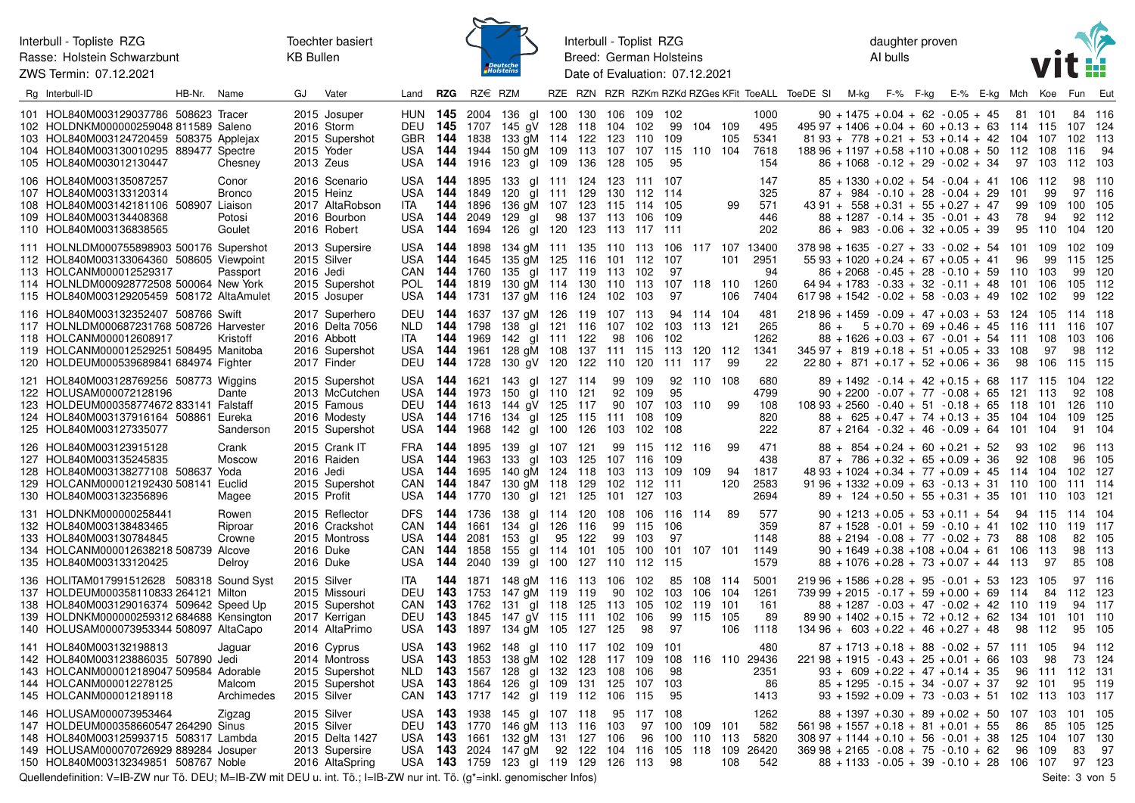Interbull - Topliste RZG Rasse: Holstein Schwarzbunt

ZWS Termin: 07.12.2021

Toechter basiert **KB Bullen** 



Interbull - Toplist RZG Breed: German Holsteins Date of Evaluation: 07.12.2021

daughter proven Al bulls



| Rg Interbull-ID                                                                                                                                                                                                       | HB-Nr. | Name                                       | GJ                       | Vater                                                                              | Land                                                      | <b>RZG</b>                           | $RZ \in RZM$                             |                                                                                                                           |        |                                       |                                          |                                  |                                  |                                         |                           |                                             | RZE RZN RZR RZKm RZKd RZGes KFit ToeALL ToeDE SI M-kg F-% F-kg                                                             |                                                                                                                                                                                                        |  | E-% E-kg Mch |                                 | Koe                                  | <b>Fun</b>                           | Eut                                  |
|-----------------------------------------------------------------------------------------------------------------------------------------------------------------------------------------------------------------------|--------|--------------------------------------------|--------------------------|------------------------------------------------------------------------------------|-----------------------------------------------------------|--------------------------------------|------------------------------------------|---------------------------------------------------------------------------------------------------------------------------|--------|---------------------------------------|------------------------------------------|----------------------------------|----------------------------------|-----------------------------------------|---------------------------|---------------------------------------------|----------------------------------------------------------------------------------------------------------------------------|--------------------------------------------------------------------------------------------------------------------------------------------------------------------------------------------------------|--|--------------|---------------------------------|--------------------------------------|--------------------------------------|--------------------------------------|
| 101 HOL840M003129037786 508623 Tracer<br>102 HOLDNKM000000259048 811589 Saleno<br>103 HOL840M003124720459 508375 Applejax<br>104 HOL840M003130010295 889477 Spectre<br>105 HOL840M003012130447                        |        | Chesney                                    | 2013 Zeus                | 2015 Josuper<br>2016 Storm<br>2015 Supershot<br>2015 Yoder                         | GBR 144<br>USA<br>USA                                     | 144<br>144                           | 1838<br>1944                             | HUN 145 2004 136 gl 100<br>DEU 145 1707 145 gV 128 118 104 102<br>133 gM 114 122<br>150 gM 109<br>1916 123 gl 109 136 128 |        | 130 106<br>113                        | 123<br>107                               | 109<br>110<br>107<br>105         | 102<br>99<br>109<br>115<br>-95   | 104 109<br>110 104                      | 105                       | 1000<br>495<br>5341<br>7618<br>154          | 495 97 + 1406 + 0.04 + 60 + 0.13 + 63 114 115 107 124<br>$18896 + 1197 + 0.58 + 110 + 0.08 + 50$                           | $90 + 1475 + 0.04 + 62 - 0.05 + 45$<br>$81\,93 + 778 + 0.21 + 53 + 0.14 + 42$<br>$86 + 1068 - 0.12 + 29 - 0.02 + 34$                                                                                   |  |              | 81<br>104<br>112<br>97          | -101<br>107<br>108<br>103            | 84 116<br>102 113<br>116<br>112      | 94<br>-103                           |
| 106 HOL840M003135087257<br>107 HOL840M003133120314<br>108 HOL840M003142181106 508907 Liaison<br>109 HOL840M003134408368<br>110 HOL840M003136838565                                                                    |        | Conor<br><b>Bronco</b><br>Potosi<br>Goulet |                          | 2016 Scenario<br>2015 Heinz<br>2017 AltaRobson<br>2016 Bourbon<br>2016 Robert      | USA<br>USA<br>ITA<br>USA<br>USA                           | - 144<br>144<br>144<br>144<br>144    | 1895<br>1849<br>1896<br>2049<br>1694     | 133 gl 111 124 123 111 107<br>120 gl 111 129 130 112 114<br>136 gM 107<br>129 gl<br>126 gl 120                            | 98     | 123 115<br>137 113 106 109<br>123 113 |                                          | 114 105<br>117 111               |                                  |                                         | 99                        | 147<br>325<br>571<br>446<br>202             |                                                                                                                            | $85 + 1330 + 0.02 + 54 - 0.04 + 41$<br>$87 + 984 - 0.10 + 28 - 0.04 + 29$<br>$43\,91 + 558 + 0.31 + 55 + 0.27 + 47$<br>$88 + 1287 - 0.14 + 35 - 0.01 + 43$<br>$86 + 983 - 0.06 + 32 + 0.05 + 39$       |  |              | 106<br>101<br>99<br>78<br>95    | 112<br>99<br>109<br>94<br>110        | 98<br>97 116<br>100 105<br>92<br>104 | 110<br>112<br>120                    |
| 111 HOLNLDM000755898903 500176 Supershot<br>112 HOL840M003133064360 508605 Viewpoint<br>113 HOLCANM000012529317<br>114 HOLNLDM000928772508 500064 New York<br>115 HOL840M003129205459 508172 AltaAmulet               |        | Passport                                   | 2015 Silver<br>2016 Jedi | 2013 Supersire<br>2015 Supershot<br>2015 Josuper                                   | USA <b>144</b><br>USA<br>CAN<br>POL<br>USA                | 144<br><b>144</b> 1760<br>144<br>144 | 1898<br>1645<br>1819<br>1731             | 134 gM 111 135 110 113<br>135 aM 125<br>135 gl 117 119 113 102<br>130 gM 114 130 110<br>137 gM 116 124 102                |        | 116 101                               |                                          | 112<br>113<br>103                | - 106<br>-107<br>97<br>107<br>97 | 118 110                                 | 101<br>106                | 117 107 13400<br>2951<br>94<br>1260<br>7404 | $37898 + 1635 - 0.27 + 33 - 0.02 + 54$<br>$61798 + 1542 - 0.02 + 58 - 0.03 + 49$                                           | $55\,93 + 1020 + 0.24 + 67 + 0.05 + 41$<br>$86 + 2068 - 0.45 + 28 - 0.10 + 59$<br>$6494 + 1783 - 0.33 + 32 - 0.11 + 48$                                                                                |  |              | 101<br>96<br>110<br>101<br>102  | 109<br>99<br>103<br>106<br>102       | 102<br>115<br>105<br>99              | 109<br>-125<br>99 120<br>-112<br>122 |
| 116 HOL840M003132352407 508766 Swift<br>117 HOLNLDM000687231768 508726 Harvester<br>118 HOLCANM000012608917<br>119 HOLCANM000012529251 508495 Manitoba<br>120 HOLDEUM000539689841 684974 Fighter                      |        | Kristoff                                   |                          | 2017 Superhero<br>2016 Delta 7056<br>2016 Abbott<br>2016 Supershot<br>2017 Finder  | DEU<br>NLD.<br>ITA<br>USA 144<br>DEU                      | 144<br>144<br>144<br>144             | 1637<br>1798<br>1969<br>1961<br>1728     | 137 gM 126<br>138 gl 121 116<br>142 gl 111 122<br>128 gM 108<br>130 gV 120 122 110 120                                    |        | 119 107 113<br>137 111 115            | 107 102<br>98                            | 106                              | 103<br>102<br>113<br>111         | 94 114 104<br>113 121<br>120 112<br>117 | 99                        | 481<br>265<br>1262<br>1341<br>22            | $21896 + 1459 - 0.09 + 47 + 0.03 + 53$<br>$86 +$<br>$34597 + 819 + 0.18 + 51 + 0.05 + 33$                                  | $5 + 0.70 + 69 + 0.46 + 45$<br>$88 + 1626 + 0.03 + 67 - 0.01 + 54$ 111<br>$2280 + 871 + 0.17 + 52 + 0.06 + 36$                                                                                         |  |              | -124<br>- 116<br>108<br>98      | - 105<br>111 116<br>108<br>97<br>106 | 114 118<br>103<br>98<br>115          | 107<br>-106<br>112<br>- 115          |
| 121 HOL840M003128769256 508773 Wiggins<br>122 HOLUSAM000072128196<br>123 HOLDEUM000358774672 833141 Falstaff<br>124 HOL840M003137916164 508861<br>125 HOL840M003127335077                                             |        | Dante<br>Eureka<br>Sanderson               |                          | 2015 Supershot<br>2013 McCutchen<br>2015 Famous<br>2016 Modesty<br>2015 Supershot  | USA<br>USA<br>DEU<br>USA<br>USA                           | 144<br>144<br>144<br>144<br>144      | 1621<br>1716<br>1968                     | 143 gl 127 114<br>1973 150 gl 110 121<br>1613 144 gV 125<br>134 gl 125<br>142 gl 100 126                                  |        | 117<br>115                            | 99<br>92<br>90<br>111 108<br>103 102 108 | 109<br>109<br>107                | 92<br>95<br>103<br>109           | 110 108<br>110                          | 99                        | 680<br>4799<br>108<br>820<br>222            | $10893 + 2560 - 0.40 + 51 - 0.18 + 65$                                                                                     | $89 + 1492 - 0.14 + 42 + 0.15 + 68$<br>$90 + 2200 - 0.07 + 77 - 0.08 + 65$ 121<br>$88 + 625 + 0.47 + 74 + 0.13 + 35$<br>$87 + 2164 - 0.32 + 46 - 0.09 + 64$ 101                                        |  |              | 117 115<br>118<br>104           | - 113<br>101<br>104<br>- 104         | 104<br>92<br>126 110<br>109<br>91    | -122<br>108<br>125<br>-104           |
| 126 HOL840M003123915128<br>127 HOL840M003135245835<br>128 HOL840M003138277108 508637<br>129 HOLCANM000012192430 508141<br>130 HOL840M003132356896                                                                     |        | Crank<br>Moscow<br>Yoda<br>Euclid<br>Magee | 2016 Jedi<br>2015 Profit | 2015 Crank IT<br>2016 Raiden<br>2015 Supershot                                     | FRA <b>144</b><br>USA<br>USA.<br>CAN<br>USA               | 144<br>144<br>144                    | 1963<br>1695                             | 1895 139 gl 107 121<br>133<br>140 gM 124<br>1847 130 gM 118 129 102 112 111<br><b>144</b> 1770 130 gl 121 125             | gl 103 | 125<br>118                            | 107 116<br>103<br>101                    | 99 115 112 116<br>113<br>127     | -109<br>109<br>103               | 109                                     | 99<br>94<br>120           | 471<br>438<br>1817<br>2583<br>2694          |                                                                                                                            | $88 + 854 + 0.24 + 60 + 0.21 + 52$<br>$87 + 786 + 0.32 + 65 + 0.09 + 36$<br>$4893 + 1024 + 0.34 + 77 + 0.09 + 45$<br>$91\,96 + 1332 + 0.09 + 63 - 0.13 + 31$ 110<br>$89 + 124 + 0.50 + 55 + 0.31 + 35$ |  |              | 93<br>92<br>-114<br>101         | 102<br>108<br>104<br>100<br>110      | 96<br>102<br>111 114<br>103          | 96 113<br>105<br>127<br>-121         |
| 131 HOLDNKM000000258441<br>132 HOL840M003138483465<br>133 HOL840M003130784845<br>134 HOLCANM000012638218 508739 Alcove<br>135 HOL840M003133120425                                                                     |        | Rowen<br>Riproar<br>Crowne<br>Delroy       | 2016 Duke<br>2016 Duke   | 2015 Reflector<br>2016 Crackshot<br>2015 Montross                                  | <b>DFS</b><br>CAN<br>USA <b>144</b><br>CAN.<br><b>USA</b> | 144<br>144<br>144<br>144             | 1736<br>1661<br>2081 153<br>1858<br>2040 | 138 gl 114 120<br>134 gl 126<br>al<br>155 al 114 101<br>139 gl 100                                                        | 95     | 116<br>122<br>127 110                 | 108 106<br>99<br>99<br>105               | 115<br>103<br>100<br>112         | 116<br>-106<br>97<br>101<br>-115 | 114<br>107 101                          | 89                        | 577<br>359<br>1148<br>1149<br>1579          |                                                                                                                            | $90 + 1213 + 0.05 + 53 + 0.11 + 54$<br>$87 + 1528 - 0.01 + 59 - 0.10 + 41$<br>$88 + 2194 - 0.08 + 77 - 0.02 + 73$<br>$90 + 1649 + 0.38 + 108 + 0.04 + 61$<br>$88 + 1076 + 0.28 + 73 + 0.07 + 44$       |  |              | 94<br>102<br>88<br>106<br>113   | - 115<br>110<br>108<br>113<br>97     | 114<br>119 117<br>82<br>98<br>85     | - 104<br>105<br>-113<br>108          |
| 136 HOLITAM017991512628 508318 Sound Syst<br>137 HOLDEUM000358110833 264121 Milton<br>138 HOL840M003129016374 509642 Speed Up<br>139 HOLDNKM000000259312 684688 Kensington<br>140 HOLUSAM000073953344 508097 AltaCapo |        |                                            |                          | 2015 Silver<br>2015 Missouri<br>2015 Supershot<br>2017 Kerrigan<br>2014 AltaPrimo  | ITA<br>CAN<br>DEU<br>USA <b>143</b>                       | 143<br>143                           | <b>144</b> 1871<br>1762<br>1845          | 148 gM 116 113 106 102<br>DEU 143 1753 147 gM 119<br>131 gl 118<br>147 aV 115<br>1897 134 gM 105 127 125                  |        | 119<br>125<br>111 102                 | 90<br>113                                | 102<br>105<br>106<br>98          | 85<br>103<br>102<br>99<br>97     | 108 114<br>106<br>119<br>115            | 104<br>-101<br>105<br>106 | 5001<br>1261<br>161<br>89<br>1118           | $21996 + 1586 + 0.28 + 95 - 0.01 + 53$<br>$73999 + 2015 - 0.17 + 59 + 0.00 + 69$<br>$13496 + 603 + 0.22 + 46 + 0.27 + 48$  | $88 + 1287 - 0.03 + 47 - 0.02 + 42$<br>$89\,90 + 1402 + 0.15 + 72 + 0.12 + 62$                                                                                                                         |  |              | 123<br>114<br>-110<br>134<br>98 | 105<br>84<br>-119<br>101<br>112      | 97 116<br>112 123<br>94<br>101<br>95 | -117<br>110<br>105                   |
| 141 HOL840M003132198813<br>142 HOL840M003123886035 507890 Jedi<br>143 HOLCANM000012189047 509584 Adorable<br>144 HOLCANM000012278125<br>145 HOLCANM000012189118                                                       |        | Jaguar<br>Malcom<br>Archimedes             |                          | 2016 Cyprus<br>2014 Montross<br>2015 Supershot<br>2015 Supershot<br>2015 Silver    | USA <b>143</b><br>USA<br>NLD.<br>USA<br>CAN               | 143<br>143<br>143                    | 1962<br>1853<br>1567                     | 148 gl 110 117 102<br>138 gM 102 128 117<br>128 gl 132<br>1864 126 gl 109<br><b>143</b> 1717 142 gl 119 112               |        | 123<br>131 125                        | 108<br>106                               | -109<br>109<br>106<br>107<br>115 | -101<br>108<br>98<br>103<br>95   |                                         |                           | 480<br>116 110 29436<br>2351<br>86<br>1413  | $22198 + 1915 - 0.43 + 25 + 0.01 + 66$                                                                                     | $87 + 1713 + 0.18 + 88 - 0.02 + 57$ 111 105<br>$93 + 609 + 0.22 + 47 + 0.14 + 35$<br>$85 + 1295 - 0.15 + 34 - 0.07 + 37$<br>$93 + 1592 + 0.09 + 73 - 0.03 + 51$ 102                                    |  |              | 103<br>96<br>92                 | 98<br>111<br>101<br>113              | 73 124<br>112 131<br>103 117         | 94 112<br>95 119                     |
| 146 HOLUSAM000073953464<br>147 HOLDEUM000358660547 264290 Sinus<br>148 HOL840M003125993715 508317 Lambda<br>149 HOLUSAM000070726929 889284 Josuper<br>150 HOL840M003132349851 508767 Noble                            |        | Zigzag                                     |                          | 2015 Silver<br>2015 Silver<br>2015 Delta 1427<br>2013 Supersire<br>2016 AltaSpring | DEU<br>USA.<br>USA                                        | <b>143</b> 1770<br>143<br>143        | 1661                                     | USA 143 1938 145 gl 107 118<br>146 gM 113<br>132 gM 131<br>2024 147 gM<br>USA 143 1759 123 gl 119 129 126 113             |        | 116<br>127<br>92 122 104 116 105      | 103<br>106                               | 95 117 108<br>97<br>96           | 100<br>100<br>98                 | 109<br>110<br>118 109                   | 101<br>-113<br>108        | 1262<br>582<br>5820<br>26420<br>542         | $56198 + 1557 + 0.18 + 81 + 0.01 + 55$<br>$30897 + 1144 + 0.10 + 56 - 0.01 + 38$<br>$36998 + 2165 - 0.08 + 75 - 0.10 + 62$ | $88 + 1397 + 0.30 + 89 + 0.02 + 50$<br>$88 + 1133 - 0.05 + 39 - 0.10 + 28$ 106                                                                                                                         |  |              | 107<br>86<br>125<br>96          | 103<br>85<br>-104<br>109<br>107      | 101<br>105<br>107<br>83<br>97 123    | -105<br>125<br>130<br>-97            |

Quellendefinition: V=IB-ZW nur Tö. DEU; M=IB-ZW mit DEU u. int. Tö.; I=IB-ZW nur int. Tö. (g\*=inkl. genomischer Infos)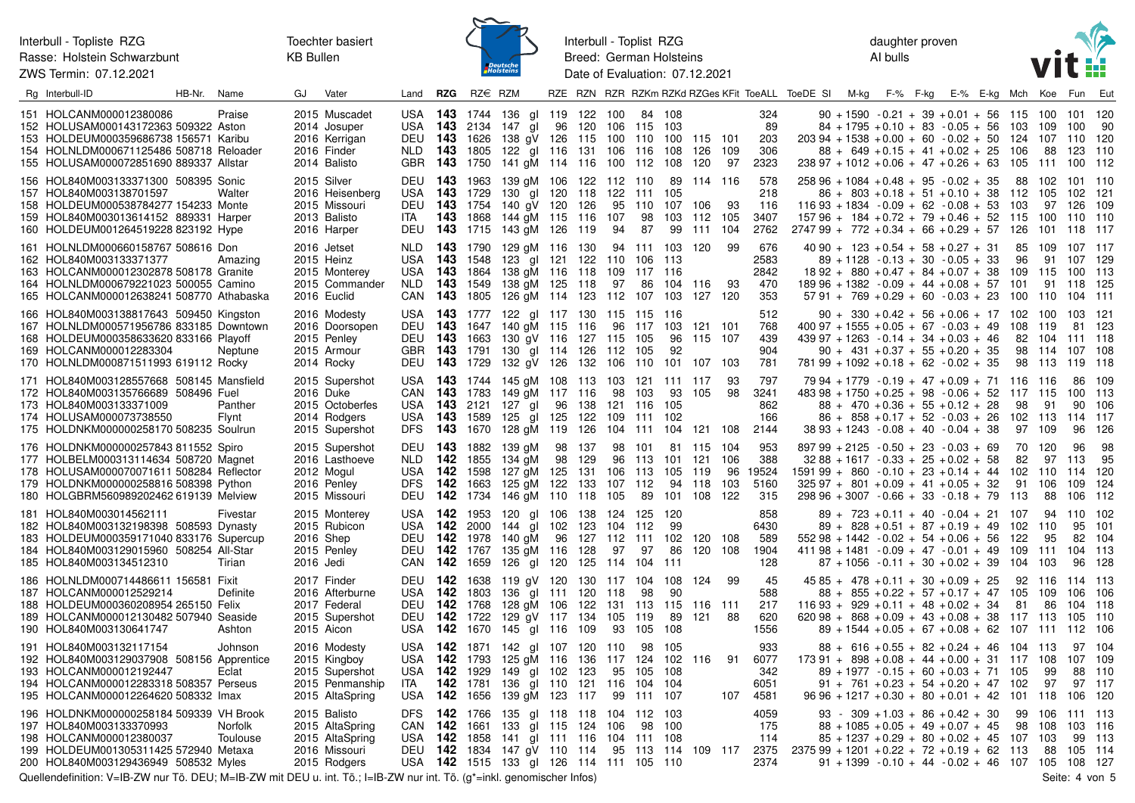Interbull - Topliste RZG Rasse: Holstein Schwarzbunt ZWS Termin: 07.12.2021



Interbull - Toplist RZG Breed: German Holsteins Date of Evaluation: 07.12.2021 daughter proven AI bulls



| Rg Interbull-ID                                                                                                                                                                                              | HB-Nr. | Name                | GJ                     | Vater                                                                                | Land                                           | <b>RZG</b>                                            | $RZ \in RZM$                                    |                                                                                                                                                      |    |                      |                                 |                                            |                           |                                                |                  |                                    | RZE RZN RZR RZKm RZKd RZGes KFit ToeALL ToeDE SI M-kg F-% F-kg |  | E-% E-kg Mch                                                                                                                                                                                                                     |     |                       | Koe                                                | Fun                                            | Eut                             |
|--------------------------------------------------------------------------------------------------------------------------------------------------------------------------------------------------------------|--------|---------------------|------------------------|--------------------------------------------------------------------------------------|------------------------------------------------|-------------------------------------------------------|-------------------------------------------------|------------------------------------------------------------------------------------------------------------------------------------------------------|----|----------------------|---------------------------------|--------------------------------------------|---------------------------|------------------------------------------------|------------------|------------------------------------|----------------------------------------------------------------|--|----------------------------------------------------------------------------------------------------------------------------------------------------------------------------------------------------------------------------------|-----|-----------------------|----------------------------------------------------|------------------------------------------------|---------------------------------|
| 151 HOLCANM000012380086<br>152 HOLUSAM000143172363 509322 Aston<br>153 HOLDEUM000359686738 156571 Karibu<br>154 HOLNLDM000671125486 508718 Reloader<br>155 HOLUSAM000072851690 889337 Allstar                |        | Praise              |                        | 2015 Muscadet<br>2014 Josuper<br>2016 Kerrigan<br>2016 Finder<br>2014 Balisto        | DEU<br>NLD <b>143</b> 1805                     |                                                       | <b>143</b> 1626                                 | USA 143 1744 136 gl 119 122<br>USA 143 2134 147 gl<br>138 aV 126 115<br>122 gl 116 131 106 116<br>GBR 143 1750 141 gM 114 116 100 112 108            |    |                      | 100<br>100                      | 84 108<br>96 120 106 115 103<br>110        | 100<br>108                | 115 101<br>126 109<br>120                      | 97               | 324<br>89<br>203<br>306<br>2323    |                                                                |  | $90 + 1590 - 0.21 + 39 + 0.01 + 56$ 115<br>$84 + 1795 + 0.10 + 83 - 0.05 + 56$ 103<br>$203\,94 + 1538 + 0.00 + 60 - 0.02 + 50$<br>$88 + 649 + 0.15 + 41 + 0.02 + 25$<br>$23897 + 1012 + 0.06 + 47 + 0.26 + 63$ 105               | 106 | 124                   | 100 101 120<br>109<br>107 110<br>88<br>111 100 112 | 100<br>123                                     | 90<br>120<br>110                |
| 156 HOL840M003133371300 508395 Sonic<br>157 HOL840M003138701597<br>158 HOLDEUM000538784277 154233 Monte<br>159 HOL840M003013614152 889331 Harper<br>160 HOLDEUM001264519228 823192 Hype                      |        | Walter              |                        | 2015 Silver<br>2016 Heisenberg<br>2015 Missouri<br>2013 Balisto<br>2016 Harper       | DEU<br>USA<br>DEU<br>ITA.<br>DEU               | <b>143</b> 1963<br><b>143</b> 1729<br><b>143</b> 1754 |                                                 | 139 gM 106 122 112 110<br>130 gl 120 118<br>140 gV 120<br><b>143</b> 1868 144 gM 115 116<br><b>143</b> 1715 143 gM 126 119                           |    | 126                  | 122<br>95<br>107<br>94          | 111<br>110<br>98<br>87                     | 105<br>107<br>103<br>99   | 89 114 116<br>106<br>112 105<br>111 104        | -93              | 578<br>218<br>116<br>3407<br>2762  | $274799 + 772 + 0.34 + 66 + 0.29 + 57$ 126                     |  | $25896 + 1084 + 0.48 + 95 - 0.02 + 35$<br>$86 + 803 + 0.18 + 51 + 0.10 + 38$ 112<br>$11693 + 1834 - 0.09 + 62 - 0.08 + 53$<br>$15796 + 184 + 0.72 + 79 + 0.46 + 52$ 115                                                          |     | 88<br>103             | 102<br>105<br>97<br>100 110 110<br>101             | 101 110<br>102<br>126<br>118 117               | -121<br>109                     |
| 161 HOLNLDM000660158767 508616 Don<br>162 HOL840M003133371377<br>163 HOLCANM000012302878 508178 Granite<br>164 HOLNLDM000679221023 500055 Camino<br>165 HOLCANM000012638241 508770 Athabaska                 |        | Amazing             |                        | 2016 Jetset<br>2015 Heinz<br>2015 Monterey<br>2015 Commander<br>2016 Euclid          | NLD 143 1790<br>USA 143 1548                   |                                                       |                                                 | 129 gM 116 130<br>123 gl 121 122<br>USA 143 1864 138 gM 116 118<br>NLD 143 1549 138 gM 125 118<br>CAN 143 1805 126 gM 114 123 112 107 103            |    |                      | 109<br>97                       | 94 111 103<br>110 106 113<br>117 116<br>86 | 104 116                   | 120<br>127 120                                 | -99<br>-93       | 676<br>2583<br>2842<br>470<br>353  |                                                                |  | $40\,90 + 123 + 0.54 + 58 + 0.27 + 31$<br>$89 + 1128 - 0.13 + 30 - 0.05 + 33$<br>$1892 + 880 + 0.47 + 84 + 0.07 + 38$ 109<br>$18996 + 1382 - 0.09 + 44 + 0.08 + 57$ 101<br>$57\,91 + 769 + 0.29 + 60 - 0.03 + 23$ 100            |     | 85<br>96              | 109 107 117<br>91<br>115 100 113<br>91 118<br>110  | 107 129<br>104                                 | - 125<br>111                    |
| 166 HOL840M003138817643 509450 Kingston<br>167 HOLNLDM000571956786 833185 Downtown<br>168 HOLDEUM000358633620 833166 Playoff<br>169 HOLCANM000012283304<br>170 HOLNLDM000871511993 619112 Rocky              |        | Neptune             |                        | 2016 Modesty<br>2016 Doorsopen<br>2015 Penley<br>2015 Armour<br>2014 Rocky           | DEU<br>GBR 143 1791                            |                                                       | DEU 143 1729                                    | USA 143 1777 122 gl 117 130 115 115 116<br><b>143</b> 1647 140 gM 115 116<br>DEU 143 1663 130 gV 116 127 115 105<br>130 gl 114 126<br>132 gV 126 132 |    |                      | 112<br>106 110                  | 96 117<br>-105                             | 103<br>96<br>92<br>101    | 121<br>115 107<br>107 103                      | - 101            | 512<br>768<br>439<br>904<br>781    |                                                                |  | $90 + 330 + 0.42 + 56 + 0.06 + 17$ 102<br>$400\,97 + 1555 + 0.05 + 67 - 0.03 + 49$<br>$439\,97 + 1263 - 0.14 + 34 + 0.03 + 46$<br>$90 + 431 + 0.37 + 55 + 0.20 + 35$<br>$78199 + 1092 + 0.18 + 62 - 0.02 + 35$                   |     | 108<br>82<br>98<br>98 | 100<br>-119<br>104<br>114<br>- 113                 | 103 121<br>81 123<br>111 118<br>107<br>119 118 | 108                             |
| 171 HOL840M003128557668 508145 Mansfield<br>172 HOL840M003135766689 508496 Fuel<br>173 HOL840M003133371009<br>174 HOLUSAM000073738550<br>175 HOLDNKM000000258170 508235 Soulrun                              |        | Panther<br>Flynt    | 2016 Duke              | 2015 Supershot<br>2015 Octoberfes<br>2014 Rodgers<br>2015 Supershot                  | CAN<br>USA 143 2121<br>USA<br>DFS 143 1670     | <b>143</b> 1783                                       | <b>143</b> 1589                                 | USA 143 1744 145 gM 108 113 103 121 111 117<br>149 aM 117 116<br>127 gl<br>125 gl 125<br>128 gM 119 126                                              | 96 | 138<br>122           | 98<br>121 116<br>109<br>104     | 103<br>111<br>111                          | 93<br>105<br>102          | 105<br>104 121 108                             | -93<br>98        | 797<br>3241<br>862<br>166<br>2144  |                                                                |  | $7994 + 1779 - 0.19 + 47 + 0.09 + 71$ 116<br>$483\,98 + 1750 + 0.25 + 98 - 0.06 + 52$ 117 115<br>$88 + 470 + 0.36 + 55 + 0.12 + 28$<br>$86 + 858 + 0.17 + 52 - 0.03 + 26$<br>$3893 + 1243 - 0.08 + 40 - 0.04 + 38$               |     | 98<br>102<br>97       | - 116<br>91<br>- 113<br>109                        | 86<br>100<br>90<br>114<br>96                   | 109<br>113<br>106<br>117<br>126 |
| 176 HOLDNKM000000257843 811552 Spiro<br>177 HOLBELM000313114634 508720 Magnet<br>178 HOLUSAM000070071611 508284 Reflector<br>179 HOLDNKM000000258816 508398 Python<br>180 HOLGBRM560989202462 619139 Melview |        |                     |                        | 2015 Supershot<br>2016 Lasthoeve<br>2012 Mogul<br>2016 Penley<br>2015 Missouri       | DEU 143 1882<br>NLD 142<br>USA 142 1598<br>DFS | <b>142</b> 1663                                       | 1855<br>DEU 142 1734                            | 139 aM<br>134 gM<br>127 gM 125<br>125 gM 122 133<br>146 gM 110 118                                                                                   | 98 | 98 137<br>129<br>131 | 96<br>106 113<br>107 112<br>105 | 98 101<br>113<br>89                        | 101<br>105<br>94          | 81 115 104<br>121<br>119<br>118<br>101 108 122 | 106<br>96<br>103 | 953<br>388<br>19524<br>5160<br>315 | $159199 + 860 - 0.10 + 23 + 0.14 + 44$ 102                     |  | $89799 + 2125 - 0.50 + 23 - 0.03 + 69$<br>$3288 + 1617 - 0.33 + 25 + 0.02 + 58$<br>$325.97 + 801 + 0.09 + 41 + 0.05 + 32$<br>$29896 + 3007 - 0.66 + 33 - 0.18 + 79$ 113                                                          |     | -70<br>82<br>91       | - 120<br>97<br>110<br>106<br>88                    | 96<br>113<br>114<br>109<br>106                 | 98<br>95<br>120<br>124<br>112   |
| 181 HOL840M003014562111<br>182 HOL840M003132198398 508593 Dynasty<br>183 HOLDEUM000359171040 833176 Supercup<br>184 HOL840M003129015960 508254 All-Star<br>185 HOL840M003134512310                           |        | Fivestar<br>Tirian  | 2016 Shep<br>2016 Jedi | 2015 Monterey<br>2015 Rubicon<br>2015 Penley                                         | USA 142 1953<br>USA<br>DEU 142 1767<br>CAN     | <b>142</b> 2000<br><b>142</b> 1659                    | DEU 142 1978                                    | 120 gl 106<br>144 gl 102<br>140 gM 96 127 112 111<br>135 gM 116 128<br>126 gl 120 125 114                                                            |    | 138<br>123           | 124 125<br>104<br>97            | 112<br>97<br>104 111                       | 120<br>99<br>102<br>86    | 120 108<br>120 108                             |                  | 858<br>6430<br>589<br>1904<br>128  |                                                                |  | $89 + 723 + 0.11 + 40 - 0.04 + 21$ 107<br>$89 + 828 + 0.51 + 87 + 0.19 + 49$<br>$55298 + 1442 - 0.02 + 54 + 0.06 + 56$ 122<br>$41198 + 1481 - 0.09 + 47 - 0.01 + 49$<br>$87 + 1056 - 0.11 + 30 + 0.02 + 39$                      | 104 | 102<br>109            | 94<br>110<br>95<br>111<br>103                      | 110<br>95<br>82<br>104<br>96                   | 102<br>101<br>104<br>113<br>128 |
| 186 HOLNLDM000714486611 156581 Fixit<br>187 HOLCANM000012529214<br>188 HOLDEUM000360208954 265150 Felix<br>189 HOLCANM000012130482 507940 Seaside<br>190 HOL840M003130641747                                 |        | Definite<br>Ashton  |                        | 2017 Finder<br>2016 Afterburne<br>2017 Federal<br>2015 Supershot<br>2015 Aicon       | DEU<br>DEU                                     | <b>142</b> 1768                                       | DEU 142 1638<br>USA 142 1803<br><b>142</b> 1722 | 119 gV 120 130 117 104<br>136 gl 111 120 118<br>128 gM 106 122<br>129 gV 117 134<br>USA 142 1670 145 gl 116 109                                      |    |                      | 131<br>105<br>93                | 98<br>113 115<br>119<br>105                | 108<br>90<br>89<br>108    | 124<br>116 111<br>121                          | -99<br>-88       | 45<br>588<br>217<br>620<br>1556    |                                                                |  | $4585 + 478 + 0.11 + 30 + 0.09 + 25$<br>$88 + 855 + 0.22 + 57 + 0.17 + 47$ 105<br>$11693 + 929 + 0.11 + 48 + 0.02 + 34$<br>$62098 + 868 + 0.09 + 43 + 0.08 + 38$ 117 113<br>$89 + 1544 + 0.05 + 67 + 0.08 + 62$ 107 111 112 106  |     | 92<br>81              | 116<br>109<br>86                                   | 114 113<br>106<br>104<br>105                   | 106<br>118<br>110               |
| 191 HOL840M003132117154<br>192 HOL840M003129037908 508156 Apprentice<br>193 HOLCANM000012192447<br>194 HOLCANM000012283318 508357 Perseus<br>195 HOLCANM000012264620 508332 Imax                             |        | Johnson<br>Eclat    |                        | 2016 Modesty<br>2015 Kingboy<br>2015 Supershot<br>2015 Penmanship<br>2015 AltaSpring | USA 142 1929<br>ITA                            |                                                       | USA 142 1793<br>USA 142 1656                    | USA 142 1871 142 gl 107 120 110<br>125 gM 116 136<br>149 gl 102<br><b>142</b> 1781 136 gl 110 121 116<br>139 gM 123 117                              |    | 123                  | 117 124<br>95<br>99             | 98<br>105<br>104<br>111 107                | -105<br>102<br>108<br>104 | 116                                            | -91<br>107       | 933<br>6077<br>342<br>6051<br>4581 |                                                                |  | $88 + 616 + 0.55 + 82 + 0.24 + 46$ 104 113<br>$173.91 + 898 + 0.08 + 44 + 0.00 + 31$ 117<br>$89 + 1977 - 0.15 + 60 + 0.03 + 71$ 105<br>$91 + 761 + 0.23 + 54 + 0.20 + 47$ 102<br>$96\,96 + 1217 + 0.30 + 80 + 0.01 + 42$ 101 118 |     |                       | 108<br>99<br>97                                    | 97 104<br>107 109<br>88<br>97 117<br>106       | 110<br>120                      |
| 196 HOLDNKM000000258184 509339 VH Brook<br>197 HOL840M003133370993<br>198 HOLCANM000012380037<br>199 HOLDEUM001305311425 572940 Metaxa<br>200 HOL840M003129436949 508532 Myles                               |        | Norfolk<br>Toulouse |                        | 2015 Balisto<br>2015 AltaSpring<br>2015 AltaSpring<br>2016 Missouri<br>2015 Rodgers  | DFS 142 1766<br>CAN                            | <b>142</b> 1661                                       |                                                 | 135 gl 118 118<br>133 gl 115<br>USA 142 1858 141 gl 111 116 104 111 108<br>DEU 142 1834 147 gV 110 114<br>USA 142 1515 133 gl 126 114 111 105 110    |    | 124 106              |                                 | 104 112 103<br>98 100<br>95 113 114        |                           | 109 117                                        |                  | 4059<br>175<br>114<br>2375<br>2374 | $237599 + 1201 + 0.22 + 72 + 0.19 + 62$ 113                    |  | $93 - 309 + 1.03 + 86 + 0.42 + 30$<br>$88 + 1085 + 0.05 + 49 + 0.07 + 45$<br>$85 + 1237 + 0.29 + 80 + 0.02 + 45$ 107 103<br>$91 + 1399 - 0.10 + 44 - 0.02 + 46$ 107 105 108                                                      |     | 99<br>98              | 106<br>108<br>88                                   | 111 113<br>103<br>99 113<br>105 114            | - 116<br>-127                   |

Quellendefinition: V=IB-ZW nur Tö. DEU; M=IB-ZW mit DEU u. int. Tö.; I=IB-ZW nur int. Tö. (g\*=inkl. genomischer Infos) Seite: 4 von 5